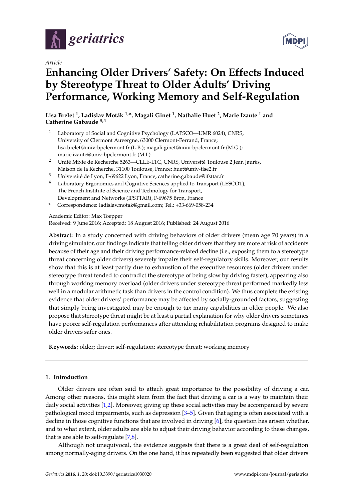

*Article*

# **Enhancing Older Drivers' Safety: On Effects Induced by Stereotype Threat to Older Adults' Driving Performance, Working Memory and Self-Regulation**

**Lisa Brelet <sup>1</sup> , Ladislav Moták 1,\*, Magali Ginet <sup>1</sup> , Nathalie Huet <sup>2</sup> , Marie Izaute <sup>1</sup> and Catherine Gabaude 3,4**

- Laboratory of Social and Cognitive Psychology (LAPSCO-UMR 6024), CNRS, University of Clermont Auvergne, 63000 Clermont-Ferrand, France; lisa.brelet@univ-bpclermont.fr (L.B.); magali.ginet@univ-bpclermont.fr (M.G.); marie.izaute@univ-bpclermont.fr (M.I.)
- <sup>2</sup> Unité Mixte de Recherche 5263—CLLE-LTC, CNRS, Université Toulouse 2 Jean Jaurès, Maison de la Recherche, 31100 Toulouse, France; huet@univ-tlse2.fr
- <sup>3</sup> Université de Lyon, F-69622 Lyon, France; catherine.gabaude@ifsttar.fr
- <sup>4</sup> Laboratory Ergonomics and Cognitive Sciences applied to Transport (LESCOT), The French Institute of Science and Technology for Transport, Development and Networks (IFSTTAR), F-69675 Bron, France
- **\*** Correspondence: ladislav.motak@gmail.com; Tel.: +33-669-058-234

Academic Editor: Max Toepper

Received: 9 June 2016; Accepted: 18 August 2016; Published: 24 August 2016

**Abstract:** In a study concerned with driving behaviors of older drivers (mean age 70 years) in a driving simulator, our findings indicate that telling older drivers that they are more at risk of accidents because of their age and their driving performance-related decline (i.e., exposing them to a stereotype threat concerning older drivers) severely impairs their self-regulatory skills. Moreover, our results show that this is at least partly due to exhaustion of the executive resources (older drivers under stereotype threat tended to contradict the stereotype of being slow by driving faster), appearing also through working memory overload (older drivers under stereotype threat performed markedly less well in a modular arithmetic task than drivers in the control condition). We thus complete the existing evidence that older drivers' performance may be affected by socially-grounded factors, suggesting that simply being investigated may be enough to tax many capabilities in older people. We also propose that stereotype threat might be at least a partial explanation for why older drivers sometimes have poorer self-regulation performances after attending rehabilitation programs designed to make older drivers safer ones.

**Keywords:** older; driver; self-regulation; stereotype threat; working memory

# **1. Introduction**

Older drivers are often said to attach great importance to the possibility of driving a car. Among other reasons, this might stem from the fact that driving a car is a way to maintain their daily social activities [\[1,](#page-14-0)[2\]](#page-14-1). Moreover, giving up these social activities may be accompanied by severe pathological mood impairments, such as depression [\[3–](#page-14-2)[5\]](#page-14-3). Given that aging is often associated with a decline in those cognitive functions that are involved in driving [\[6\]](#page-14-4), the question has arisen whether, and to what extent, older adults are able to adjust their driving behavior according to these changes, that is are able to self-regulate  $[7,8]$  $[7,8]$ .

Although not unequivocal, the evidence suggests that there is a great deal of self-regulation among normally-aging drivers. On the one hand, it has repeatedly been suggested that older drivers

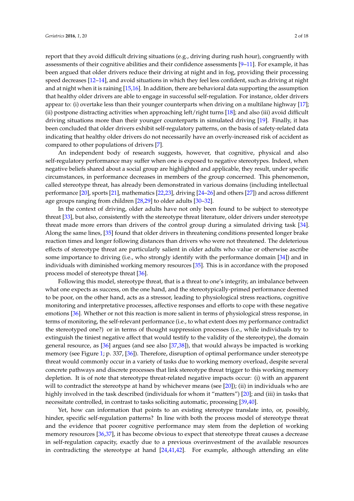report that they avoid difficult driving situations (e.g., driving during rush hour), congruently with assessments of their cognitive abilities and their confidence assessments [\[9–](#page-15-2)[11\]](#page-15-3). For example, it has been argued that older drivers reduce their driving at night and in fog, providing their processing speed decreases [\[12–](#page-15-4)[14\]](#page-15-5), and avoid situations in which they feel less confident, such as driving at night and at night when it is raining [\[15](#page-15-6)[,16\]](#page-15-7). In addition, there are behavioral data supporting the assumption that healthy older drivers are able to engage in successful self-regulation. For instance, older drivers appear to: (i) overtake less than their younger counterparts when driving on a multilane highway [\[17\]](#page-15-8); (ii) postpone distracting activities when approaching left/right turns [\[18\]](#page-15-9); and also (iii) avoid difficult driving situations more than their younger counterparts in simulated driving [\[19\]](#page-15-10). Finally, it has been concluded that older drivers exhibit self-regulatory patterns, on the basis of safety-related data indicating that healthy older drivers do not necessarily have an overly-increased risk of accident as compared to other populations of drivers [\[7\]](#page-15-0).

An independent body of research suggests, however, that cognitive, physical and also self-regulatory performance may suffer when one is exposed to negative stereotypes. Indeed, when negative beliefs shared about a social group are highlighted and applicable, they result, under specific circumstances, in performance decreases in members of the group concerned. This phenomenon, called stereotype threat, has already been demonstrated in various domains (including intellectual performance [\[20\]](#page-15-11), sports [\[21\]](#page-15-12), mathematics [\[22](#page-15-13)[,23\]](#page-15-14), driving [\[24](#page-15-15)[–26\]](#page-15-16) and others [\[27\]](#page-15-17)) and across different age groups ranging from children [\[28,](#page-15-18)[29\]](#page-15-19) to older adults [\[30](#page-15-20)[–32\]](#page-16-0).

In the context of driving, older adults have not only been found to be subject to stereotype threat [\[33\]](#page-16-1), but also, consistently with the stereotype threat literature, older drivers under stereotype threat made more errors than drivers of the control group during a simulated driving task [\[34\]](#page-16-2). Along the same lines, [\[35\]](#page-16-3) found that older drivers in threatening conditions presented longer brake reaction times and longer following distances than drivers who were not threatened. The deleterious effects of stereotype threat are particularly salient in older adults who value or otherwise ascribe some importance to driving (i.e., who strongly identify with the performance domain [\[34\]](#page-16-2)) and in individuals with diminished working memory resources [\[35\]](#page-16-3). This is in accordance with the proposed process model of stereotype threat [\[36\]](#page-16-4).

Following this model, stereotype threat, that is a threat to one's integrity, an imbalance between what one expects as success, on the one hand, and the stereotypically-primed performance deemed to be poor, on the other hand, acts as a stressor, leading to physiological stress reactions, cognitive monitoring and interpretative processes, affective responses and efforts to cope with these negative emotions [\[36\]](#page-16-4). Whether or not this reaction is more salient in terms of physiological stress response, in terms of monitoring, the self-relevant performance (i.e., to what extent does my performance contradict the stereotyped one?) or in terms of thought suppression processes (i.e., while individuals try to extinguish the tiniest negative affect that would testify to the validity of the stereotype), the domain general resource, as [\[36\]](#page-16-4) argues (and see also [\[37](#page-16-5)[,38\]](#page-16-6)), that would always be impacted is working memory (see Figure [1;](#page-2-0) p. 337, [\[36\]](#page-16-4)). Therefore, disruption of optimal performance under stereotype threat would commonly occur in a variety of tasks due to working memory overload, despite several concrete pathways and discrete processes that link stereotype threat trigger to this working memory depletion. It is of note that stereotype threat-related negative impacts occur: (i) with an apparent will to contradict the stereotype at hand by whichever means (see [\[20\]](#page-15-11)); (ii) in individuals who are highly involved in the task described (individuals for whom it "matters") [\[20\]](#page-15-11); and (iii) in tasks that necessitate controlled, in contrast to tasks soliciting automatic, processing [\[39,](#page-16-7)[40\]](#page-16-8).

Yet, how can information that points to an existing stereotype translate into, or, possibly, hinder, specific self-regulation patterns? In line with both the process model of stereotype threat and the evidence that poorer cognitive performance may stem from the depletion of working memory resources [\[36](#page-16-4)[,37\]](#page-16-5), it has become obvious to expect that stereotype threat causes a decrease in self-regulation capacity, exactly due to a previous overinvestment of the available resources in contradicting the stereotype at hand  $[24,41,42]$  $[24,41,42]$  $[24,41,42]$ . For example, although attending an elite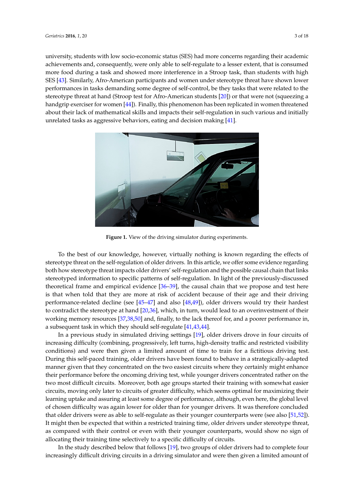university, students with low socio-economic status (SES) had more concerns regarding their academic *Geriatrics* **2016**, *1*, 20 3 of 18 achievements and, consequently, were only able to self-regulate to a lesser extent, that is consumed more food during a task and showed more interference in a Stroop task, than students with high SES [\[43\]](#page-16-11). Similarly, Afro-American participants and women under stereotype threat have shown lower performances in tasks demanding some degree of self-control, be they tasks that were related to the -<br>stereotype threat at hand (Stroop test for Afro-American students [\[20\]](#page-15-11)) or that were not (squeezing a handgrip exerciser for women [\[44\]](#page-16-12)). Finally, this phenomenon has been replicated in women threatened about their lack of mathematical skills and impacts their self-regulation in such various and initially unrelated tasks as aggressive behaviors, eating and decision making [\[41\]](#page-16-9). we have the mathematical skills and impacts their self-regulation in such various and imp

<span id="page-2-0"></span>

**Figure 1.** View of the driving simulator during experiments. **Figure 1.** View of the driving simulator during experiments.

To the best of our knowledge, however, virtually nothing is known regarding the effects of stereotype threat on the self-regulation of older drivers. In this article, we offer some evidence regarding both how stereotype threat impacts older drivers' self-regulation and the possible causal chain that links stereotyped information to specific patterns of self-regulation. In light of the previously-discussed theoretical frame and empirical evidence  $[36-39]$  $[36-39]$ , the causal chain that we propose and test here the irreduced decline  $q$  and also  $q$  and also  $q$  and also  $q$  and also  $q$ , order drivers would try their their is that when told that they are more at risk of accident because of their age and their driving<br>is that when told that they are more at risk of accident because of their age and their driving performance-related decline (see [\[45–](#page-16-13)[47\]](#page-16-14) and also [\[48,](#page-16-15)[49\]](#page-16-16)), older drivers would try their hardest to contradict the stereotype at hand [\[20,](#page-15-11)[36\]](#page-16-4), which, in turn, would lead to an overinvestment of their working memory resources [\[37,](#page-16-5)[38](#page-16-6)[,50\]](#page-16-17) and, finally, to the lack thereof for, and a poorer performance in, a subsequent task in which they should self-regulate [\[41,](#page-16-9)[43,](#page-16-11)[44\]](#page-16-12).

In a previous study in simulated driving settings [19], older drivers drove in four circuits of increasing difficulty (combining, progressively, left turns, high-density traffic and restricted visibility conditions) and were then given a limited amount of time to train for a fictitious driving test. During this self-paced training, older drivers have been found to behave in a strategically-adapted concentration rather rather on the two most differences in the two most differences in the state groups started the manner given that they concentrated on the two easiest circuits where they certainly might enhance their performance before the oncoming driving test, while younger drivers concentrated rather on the two most difficult circuits. Moreover, both age groups started their training with somewhat easier circuits, moving only later to circuits of greater difficulty, which seems optimal for maximizing their learning uptake and assuring at least some degree of performance, although, even here, the global level of chosen difficulty was again lower for older than for younger drivers. It was therefore concluded that older drivers were as able to self-regulate as their younger counterparts were (see also [\[51,](#page-16-18)[52\]](#page-16-19)). It might then be expected that within a restricted training time, older drivers under stereotype threat,  $\frac{1}{2}$ as compared with their control or even with their younger counterparts, would show no sign of  $\frac{1}{2}$ allocating their training time selectively to a specific difficulty of circuits.<br>
allocating their training time selectively to a specific difficulty of circuits.

In the study described below that follows [\[19\]](#page-15-10), two groups of older drivers had to complete four increasingly difficult driving circuits in a driving simulator and were then given a limited amount of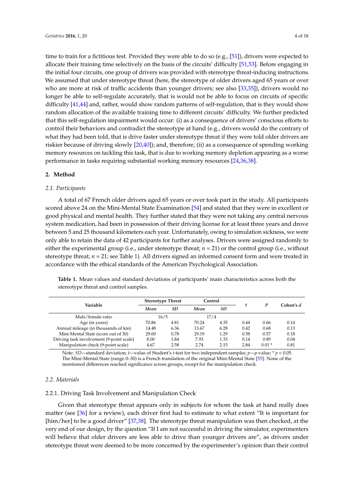time to train for a fictitious test. Provided they were able to do so (e.g., [\[51\]](#page-16-18)), drivers were expected to allocate their training time selectively on the basis of the circuits' difficulty [\[51,](#page-16-18)[53\]](#page-16-20). Before engaging in the initial four circuits, one group of drivers was provided with stereotype threat-inducing instructions. We assumed that under stereotype threat (here, the stereotype of older drivers aged 65 years or over who are more at risk of traffic accidents than younger drivers; see also [\[33](#page-16-1)[,35\]](#page-16-3)), drivers would no longer be able to self-regulate accurately, that is would not be able to focus on circuits of specific difficulty [\[41,](#page-16-9)[44\]](#page-16-12) and, rather, would show random patterns of self-regulation, that is they would show random allocation of the available training time to different circuits' difficulty. We further predicted that this self-regulation impairment would occur: (i) as a consequence of drivers' conscious efforts to control their behaviors and contradict the stereotype at hand (e.g., drivers would do the contrary of what they had been told, that is drive faster under stereotype threat if they were told older drivers are riskier because of driving slowly [\[20,](#page-15-11)[40\]](#page-16-8)); and, therefore, (ii) as a consequence of spending working memory resources on tackling this task, that is due to working memory depletion appearing as a worse performance in tasks requiring substantial working memory resources [\[24](#page-15-15)[,36](#page-16-4)[,38\]](#page-16-6).

# **2. Method**

# *2.1. Participants*

A total of 67 French older drivers aged 65 years or over took part in the study. All participants scored above 24 on the Mini-Mental State Examination [\[54\]](#page-16-21) and stated that they were in excellent or good physical and mental health. They further stated that they were not taking any central nervous system medication, had been in possession of their driving license for at least three years and drove between 5 and 25 thousand kilometers each year. Unfortunately, owing to simulation sickness, we were only able to retain the data of 42 participants for further analyses. Drivers were assigned randomly to either the experimental group (i.e., under stereotype threat; *n* = 21) or the control group (i.e., without stereotype threat;  $n = 21$ ; see Table [1\)](#page-3-0). All drivers signed an informed consent form and were treated in accordance with the ethical standards of the American Psychological Association.

| Variable                                 | <b>Stereotype Threat</b> |      | Control |      |      | p       | Cohen's d |
|------------------------------------------|--------------------------|------|---------|------|------|---------|-----------|
|                                          | Mean                     | SD   | Mean    | SD   |      |         |           |
| Male/female ratio                        | 16/5                     |      | 17/4    |      |      |         |           |
| Age (in years)                           | 70.86                    | 4.81 | 70.24   | 4.35 | 0.44 | 0.66    | 0.14      |
| Annual mileage (in thousands of km)      | 14.48                    | 6.36 | 13.67   | 6.28 | 0.42 | 0.68    | 0.13      |
| Mini-Mental State (score out of 30)      | 29.00                    | 0.78 | 29.19   | 1.29 | 0.58 | 0.57    | 0.18      |
| Driving task involvement (9-point scale) | 8.00                     | 1.84 | 7.93    | 1.33 | 0.14 | 0.89    | 0.04      |
| Manipulation check (9-point scale)       | 4.67                     | 2.58 | 2.74    | 2.15 | 2.84 | $0.01*$ | 0.81      |
|                                          |                          |      |         |      |      |         |           |

<span id="page-3-0"></span>**Table 1.** Mean values and standard deviations of participants' main characteristics across both the stereotype threat and control samples.

Note: *SD*—standard deviation; *t*—value of Student's *t*-test for two independent samples; *p*—*p*-value; \* *p* < 0.05. The Mini-Mental State (range 0–30) is a French translation of the original Mini-Mental State [\[55\]](#page-17-0). None of the mentioned differences reached significance across groups, except for the manipulation check.

# *2.2. Materials*

# 2.2.1. Driving Task Involvement and Manipulation Check

Given that stereotype threat appears only in subjects for whom the task at hand really does matter (see [\[36\]](#page-16-4) for a review), each driver first had to estimate to what extent "It is important for [him/her] to be a good driver" [\[37](#page-16-5)[,38\]](#page-16-6). The stereotype threat manipulation was then checked, at the very end of our design, by the question "If I am not successful in driving the simulator, experimenters will believe that older drivers are less able to drive than younger drivers are", as drivers under stereotype threat were deemed to be more concerned by the experimenter's opinion than their control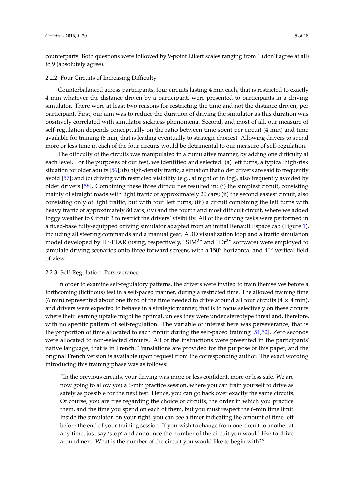counterparts. Both questions were followed by 9-point Likert scales ranging from 1 (don't agree at all) to 9 (absolutely agree).

#### 2.2.2. Four Circuits of Increasing Difficulty

Counterbalanced across participants, four circuits lasting 4 min each, that is restricted to exactly 4 min whatever the distance driven by a participant, were presented to participants in a driving simulator. There were at least two reasons for restricting the time and not the distance driven, per participant. First, our aim was to reduce the duration of driving the simulator as this duration was positively correlated with simulator sickness phenomena. Second, and most of all, our measure of self-regulation depends conceptually on the ratio between time spent per circuit (4 min) and time available for training (6 min, that is leading eventually to strategic choices). Allowing drivers to spend more or less time in each of the four circuits would be detrimental to our measure of self-regulation.

The difficulty of the circuits was manipulated in a cumulative manner, by adding one difficulty at each level. For the purposes of our test, we identified and selected: (a) left turns, a typical high-risk situation for older adults [\[56\]](#page-17-1); (b) high-density traffic, a situation that older drivers are said to frequently avoid [\[57\]](#page-17-2); and (c) driving with restricted visibility (e.g., at night or in fog), also frequently avoided by older drivers [\[58\]](#page-17-3). Combining these three difficulties resulted in: (i) the simplest circuit, consisting mainly of straight roads with light traffic of approximately 20 cars; (ii) the second easiest circuit, also consisting only of light traffic, but with four left turns; (iii) a circuit combining the left turns with heavy traffic of approximately 80 cars; (iv) and the fourth and most difficult circuit, where we added foggy weather to Circuit 3 to restrict the drivers' visibility. All of the driving tasks were performed in a fixed-base fully-equipped driving simulator adapted from an initial Renault Espace cab (Figure [1\)](#page-2-0), including all steering commands and a manual gear. A 3D visualization loop and a traffic simulation model developed by IFSTTAR (using, respectively, "SIM<sup>2</sup>" and "Dr<sup>2</sup>" software) were employed to simulate driving scenarios onto three forward screens with a 150◦ horizontal and 40◦ vertical field of view.

#### 2.2.3. Self-Regulation: Perseverance

In order to examine self-regulatory patterns, the drivers were invited to train themselves before a forthcoming (fictitious) test in a self-paced manner, during a restricted time. The allowed training time (6 min) represented about one third of the time needed to drive around all four circuits ( $4 \times 4$  min), and drivers were expected to behave in a strategic manner, that is to focus selectively on these circuits where their learning uptake might be optimal, unless they were under stereotype threat and, therefore, with no specific pattern of self-regulation. The variable of interest here was perseverance, that is the proportion of time allocated to each circuit during the self-paced training [\[51,](#page-16-18)[52\]](#page-16-19). Zero seconds were allocated to non-selected circuits. All of the instructions were presented in the participants' native language, that is in French. Translations are provided for the purpose of this paper, and the original French version is available upon request from the corresponding author. The exact wording introducing this training phase was as follows:

"In the previous circuits, your driving was more or less confident, more or less safe. We are now going to allow you a 6-min practice session, where you can train yourself to drive as safely as possible for the next test. Hence, you can go back over exactly the same circuits. Of course, you are free regarding the choice of circuits, the order in which you practice them, and the time you spend on each of them, but you must respect the 6-min time limit. Inside the simulator, on your right, you can see a timer indicating the amount of time left before the end of your training session. If you wish to change from one circuit to another at any time, just say 'stop' and announce the number of the circuit you would like to drive around next. What is the number of the circuit you would like to begin with?"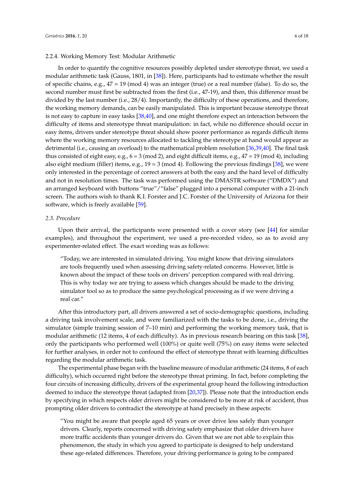#### 2.2.4. Working Memory Test: Modular Arithmetic

In order to quantify the cognitive resources possibly depleted under stereotype threat, we used a modular arithmetic task (Gauss, 1801, in [\[38\]](#page-16-6)). Here, participants had to estimate whether the result of specific chains, e.g., 47 = 19 (mod 4) was an integer (true) or a real number (false). To do so, the second number must first be subtracted from the first (i.e., 47-19), and then, this difference must be divided by the last number (i.e., 28/4). Importantly, the difficulty of these operations, and therefore, the working memory demands, can be easily manipulated. This is important because stereotype threat is not easy to capture in easy tasks [\[38,](#page-16-6)[40\]](#page-16-8), and one might therefore expect an interaction between the difficulty of items and stereotype threat manipulation: in fact, while no difference should occur in easy items, drivers under stereotype threat should show poorer performance as regards difficult items where the working memory resources allocated to tackling the stereotype at hand would appear as detrimental (i.e., causing an overload) to the mathematical problem resolution [\[36,](#page-16-4)[39](#page-16-7)[,40\]](#page-16-8). The final task thus consisted of eight easy, e.g.,  $6 = 3 \pmod{2}$ , and eight difficult items, e.g.,  $47 = 19 \pmod{4}$ , including also eight medium (filler) items, e.g.,  $19 = 3 \pmod{4}$ . Following the previous findings [\[38\]](#page-16-6), we were only interested in the percentage of correct answers at both the easy and the hard level of difficulty and not in resolution times. The task was performed using the DMASTR software ("DMDX") and an arranged keyboard with buttons "true"/"false" plugged into a personal computer with a 21-inch screen. The authors wish to thank K.I. Forster and J.C. Forster of the University of Arizona for their software, which is freely available [\[59\]](#page-17-4).

#### *2.3. Procedure*

Upon their arrival, the participants were presented with a cover story (see [\[44\]](#page-16-12) for similar examples), and throughout the experiment, we used a pre-recorded video, so as to avoid any experimenter-related effect. The exact wording was as follows:

"Today, we are interested in simulated driving. You might know that driving simulators are tools frequently used when assessing driving safety-related concerns. However, little is known about the impact of these tools on drivers' perception compared with real driving. This is why today we are trying to assess which changes should be made to the driving simulator tool so as to produce the same psychological processing as if we were driving a real car."

After this introductory part, all drivers answered a set of socio-demographic questions, including a driving task involvement scale, and were familiarized with the tasks to be done, i.e., driving the simulator (simple training session of 7–10 min) and performing the working memory task, that is modular arithmetic (12 items, 4 of each difficulty). As in previous research bearing on this task [\[38\]](#page-16-6), only the participants who performed well (100%) or quite well (75%) on easy items were selected for further analyses, in order not to confound the effect of stereotype threat with learning difficulties regarding the modular arithmetic task.

The experimental phase began with the baseline measure of modular arithmetic (24 items, 8 of each difficulty), which occurred right before the stereotype threat priming. In fact, before completing the four circuits of increasing difficulty, drivers of the experimental group heard the following introduction deemed to induce the stereotype threat (adapted from [\[20,](#page-15-11)[37\]](#page-16-5)). Please note that the introduction ends by specifying in which respects older drivers might be considered to be more at risk of accident, thus prompting older drivers to contradict the stereotype at hand precisely in these aspects:

"You might be aware that people aged 65 years or over drive less safely than younger drivers. Clearly, reports concerned with driving safety emphasize that older drivers have more traffic accidents than younger drivers do. Given that we are not able to explain this phenomenon, the study in which you agreed to participate is designed to help understand these age-related differences. Therefore, your driving performance is going to be compared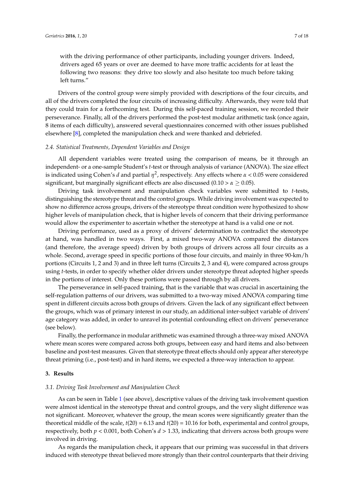with the driving performance of other participants, including younger drivers. Indeed, drivers aged 65 years or over are deemed to have more traffic accidents for at least the following two reasons: they drive too slowly and also hesitate too much before taking left turns."

Drivers of the control group were simply provided with descriptions of the four circuits, and all of the drivers completed the four circuits of increasing difficulty. Afterwards, they were told that they could train for a forthcoming test. During this self-paced training session, we recorded their perseverance. Finally, all of the drivers performed the post-test modular arithmetic task (once again, 8 items of each difficulty), answered several questionnaires concerned with other issues published elsewhere [\[8\]](#page-15-1), completed the manipulation check and were thanked and debriefed.

# *2.4. Statistical Treatments, Dependent Variables and Design*

All dependent variables were treated using the comparison of means, be it through an independent- or a one-sample Student's *t*-test or through analysis of variance (ANOVA). The size effect is indicated using Cohen's *d* and partial *η* 2 , respectively. Any effects where *α* < 0.05 were considered significant, but marginally significant effects are also discussed (0.10  $> \alpha \geq 0.05$ ).

Driving task involvement and manipulation check variables were submitted to *t*-tests, distinguishing the stereotype threat and the control groups. While driving involvement was expected to show no difference across groups, drivers of the stereotype threat condition were hypothesized to show higher levels of manipulation check, that is higher levels of concern that their driving performance would allow the experimenter to ascertain whether the stereotype at hand is a valid one or not.

Driving performance, used as a proxy of drivers' determination to contradict the stereotype at hand, was handled in two ways. First, a mixed two-way ANOVA compared the distances (and therefore, the average speed) driven by both groups of drivers across all four circuits as a whole. Second, average speed in specific portions of those four circuits, and mainly in three 90-km/h portions (Circuits 1, 2 and 3) and in three left turns (Circuits 2, 3 and 4), were compared across groups using *t*-tests, in order to specify whether older drivers under stereotype threat adopted higher speeds in the portions of interest. Only these portions were passed through by all drivers.

The perseverance in self-paced training, that is the variable that was crucial in ascertaining the self-regulation patterns of our drivers, was submitted to a two-way mixed ANOVA comparing time spent in different circuits across both groups of drivers. Given the lack of any significant effect between the groups, which was of primary interest in our study, an additional inter-subject variable of drivers' age category was added, in order to unravel its potential confounding effect on drivers' perseverance (see below).

Finally, the performance in modular arithmetic was examined through a three-way mixed ANOVA where mean scores were compared across both groups, between easy and hard items and also between baseline and post-test measures. Given that stereotype threat effects should only appear after stereotype threat priming (i.e., post-test) and in hard items, we expected a three-way interaction to appear.

#### **3. Results**

#### *3.1. Driving Task Involvement and Manipulation Check*

As can be seen in Table [1](#page-3-0) (see above), descriptive values of the driving task involvement question were almost identical in the stereotype threat and control groups, and the very slight difference was not significant. Moreover, whatever the group, the mean scores were significantly greater than the theoretical middle of the scale, *t*(20) = 6.13 and *t*(20) = 10.16 for both, experimental and control groups, respectively, both *p* < 0.001, both Cohen's *d* > 1.33, indicating that drivers across both groups were involved in driving.

As regards the manipulation check, it appears that our priming was successful in that drivers induced with stereotype threat believed more strongly than their control counterparts that their driving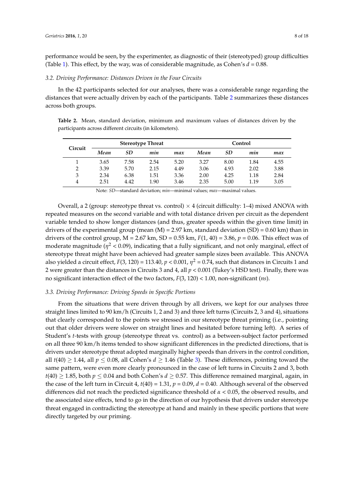performance would be seen, by the experimenter, as diagnostic of their (stereotyped) group difficulties (Table [1\)](#page-3-0). This effect, by the way, was of considerable magnitude, as Cohen's  $d = 0.88$ .

#### *3.2. Driving Performance: Distances Driven in the Four Circuits*

In the 42 participants selected for our analyses, there was a considerable range regarding the distances that were actually driven by each of the participants. Table [2](#page-7-0) summarizes these distances across both groups.

<span id="page-7-0"></span>**Table 2.** Mean, standard deviation, minimum and maximum values of distances driven by the participants across different circuits (in kilometers).

| Circuit        |      |      | <b>Stereotype Threat</b> |      | Control |           |      |      |  |
|----------------|------|------|--------------------------|------|---------|-----------|------|------|--|
|                | Mean | SD   | min                      | max  | Mean    | <b>SD</b> | mın  | max  |  |
|                | 3.65 | 7.58 | 2.54                     | 5.20 | 3.27    | 8.00      | 1.84 | 4.55 |  |
| $\overline{2}$ | 3.39 | 5.70 | 2.15                     | 4.49 | 3.06    | 4.93      | 2.02 | 3.88 |  |
| 3              | 2.34 | 6.38 | 1.51                     | 3.36 | 2.00    | 4.25      | 1.18 | 2.84 |  |
| 4              | 2.51 | 4.42 | 1.90                     | 3.46 | 2.35    | 5.00      | 1.19 | 3.05 |  |

Note: *SD*—standard deviation; *min*—minimal values; *max*—maximal values.

Overall, a 2 (group: stereotype threat vs. control)  $\times$  4 (circuit difficulty: 1–4) mixed ANOVA with repeated measures on the second variable and with total distance driven per circuit as the dependent variable tended to show longer distances (and thus, greater speeds within the given time limit) in drivers of the experimental group (mean  $(M) = 2.97$  km, standard deviation  $(SD) = 0.60$  km) than in drivers of the control group,  $M = 2.67$  km,  $SD = 0.55$  km,  $F(1, 40) = 3.86$ ,  $p = 0.06$ . This effect was of moderate magnitude (*η* <sup>2</sup> < 0.09), indicating that a fully significant, and not only marginal, effect of stereotype threat might have been achieved had greater sample sizes been available. This ANOVA also yielded a circuit effect,  $F(3, 120) = 113.40$ ,  $p < 0.001$ ,  $\eta^2 = 0.74$ , such that distances in Circuits 1 and 2 were greater than the distances in Circuits 3 and 4, all *p* < 0.001 (Tukey's HSD test). Finally, there was no significant interaction effect of the two factors, *F*(3, 120) < 1.00, non-significant (*ns*).

# *3.3. Driving Performance: Driving Speeds in Specific Portions*

From the situations that were driven through by all drivers, we kept for our analyses three straight lines limited to 90 km/h (Circuits 1, 2 and 3) and three left turns (Circuits 2, 3 and 4), situations that clearly corresponded to the points we stressed in our stereotype threat priming (i.e., pointing out that older drivers were slower on straight lines and hesitated before turning left). A series of Student's *t-*tests with group (stereotype threat vs. control) as a between-subject factor performed on all three 90 km/h items tended to show significant differences in the predicted directions, that is drivers under stereotype threat adopted marginally higher speeds than drivers in the control condition, all  $t(40) \ge 1.44$ , all  $p \le 0.08$ , all Cohen's  $d \ge 1.46$  (Table [3\)](#page-8-0). These differences, pointing toward the same pattern, were even more clearly pronounced in the case of left turns in Circuits 2 and 3, both  $t(40) \ge 1.85$ , both  $p \le 0.04$  and both Cohen's  $d \ge 0.57$ . This difference remained marginal, again, in the case of the left turn in Circuit 4,  $t(40) = 1.31$ ,  $p = 0.09$ ,  $d = 0.40$ . Although several of the observed differences did not reach the predicted significance threshold of *α* < 0.05, the observed results, and the associated size effects, tend to go in the direction of our hypothesis that drivers under stereotype threat engaged in contradicting the stereotype at hand and mainly in these specific portions that were directly targeted by our priming.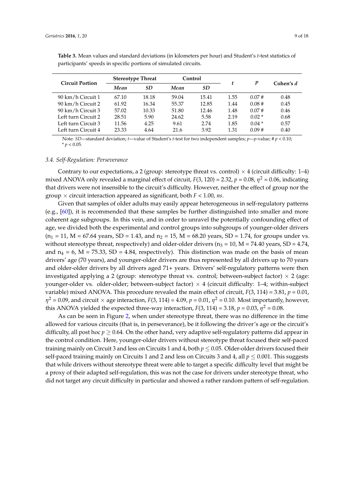|                        | <b>Stereotype Threat</b> |           | Control |       |      | p       | Cohen's d |  |
|------------------------|--------------------------|-----------|---------|-------|------|---------|-----------|--|
| <b>Circuit Portion</b> | Mean                     | <b>SD</b> | Mean    | SD    | t    |         |           |  |
| 90 km/h Circuit 1      | 67.10                    | 18.18     | 59.04   | 15.41 | 1.55 | 0.07#   | 0.48      |  |
| 90 km/h Circuit 2      | 61.92                    | 16.34     | 55.37   | 12.85 | 1.44 | 0.08#   | 0.45      |  |
| 90 km/h Circuit 3      | 57.02                    | 10.33     | 51.80   | 12.46 | 1.48 | 0.07#   | 0.46      |  |
| Left turn Circuit 2    | 28.51                    | 5.90      | 24.62   | 5.58  | 2.19 | $0.02*$ | 0.68      |  |
| Left turn Circuit 3    | 11.56                    | 4.25      | 9.61    | 2.74  | 1.85 | $0.04*$ | 0.57      |  |
| Left turn Circuit 4    | 23.33                    | 4.64      | 21.6    | 3.92  | 1.31 | 0.09#   | 0.40      |  |

<span id="page-8-0"></span>**Table 3.** Mean values and standard deviations (in kilometers per hour) and Student's *t*-test statistics of participants' speeds in specific portions of simulated circuits.

Note: *SD*—standard deviation; *t*—value of Student's *t*-test for two independent samples; *p*—*p*-value; # *p* < 0.10;  $* p < 0.05$ .

#### *3.4. Self-Regulation: Perseverance*

Contrary to our expectations, a 2 (group: stereotype threat vs. control)  $\times$  4 (circuit difficulty: 1-4) mixed ANOVA only revealed a marginal effect of circuit,  $F(3, 120) = 2.32$ ,  $p = 0.08$ ,  $\eta^2 = 0.06$ , indicating that drivers were not insensible to the circuit's difficulty. However, neither the effect of group nor the group × circuit interaction appeared as significant, both *F* < 1.00, *ns*.

Given that samples of older adults may easily appear heterogeneous in self-regulatory patterns (e.g.,  $[60]$ ), it is recommended that these samples be further distinguished into smaller and more coherent age subgroups. In this vein, and in order to unravel the potentially confounding effect of age, we divided both the experimental and control groups into subgroups of younger-older drivers  $(n_1 = 11, M = 67.64$  years, SD = 1.43, and  $n_2 = 15, M = 68.20$  years, SD = 1.74, for groups under vs. without stereotype threat, respectively) and older-older drivers ( $n_3 = 10$ , M = 74.40 years, SD = 4.74, and  $n_4 = 6$ , M = 75.33, SD = 4.84, respectively). This distinction was made on the basis of mean drivers' age (70 years), and younger-older drivers are thus represented by all drivers up to 70 years and older-older drivers by all drivers aged 71+ years. Drivers' self-regulatory patterns were then investigated applying a 2 (group: stereotype threat vs. control; between-subject factor)  $\times$  2 (age: younger-older vs. older-older; between-subject factor)  $\times$  4 (circuit difficulty: 1–4; within-subject variable) mixed ANOVA. This procedure revealed the main effect of circuit,  $F(3, 114) = 3.81$ ,  $p = 0.01$ , *η* <sup>2</sup> = 0.09, and circuit × age interaction, *F*(3, 114) = 4.09, *p* = 0.01, *η* <sup>2</sup> = 0.10. Most importantly, however, this ANOVA yielded the expected three-way interaction,  $F(3, 114) = 3.18$ ,  $p = 0.03$ ,  $\eta^2 = 0.08$ .

As can be seen in Figure [2,](#page-9-0) when under stereotype threat, there was no difference in the time allowed for various circuits (that is, in perseverance), be it following the driver's age or the circuit's difficulty, all post hoc  $p \geq 0.64$ . On the other hand, very adaptive self-regulatory patterns did appear in the control condition. Here, younger-older drivers without stereotype threat focused their self-paced training mainly on Circuit 3 and less on Circuits 1 and 4, both *p* ≤ 0.05. Older-older drivers focused their self-paced training mainly on Circuits 1 and 2 and less on Circuits 3 and 4, all  $p \le 0.001$ . This suggests that while drivers without stereotype threat were able to target a specific difficulty level that might be a proxy of their adapted self-regulation, this was not the case for drivers under stereotype threat, who did not target any circuit difficulty in particular and showed a rather random pattern of self-regulation.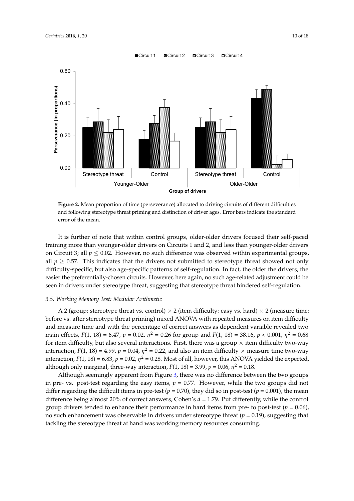<span id="page-9-0"></span>

and following stereotype threat priming and distinction of driver ages. Error bars indicate the standard error of the mean. **Figure 2.** Mean proportion of time (perseverance) allocated to driving circuits of different difficulties

It is further of note that within control groups, older-older drivers focused their self-paced training more than younger-older drivers on Circuits 1 and 2, and less than younger-older drivers on Circuit 3; all  $p \le 0.02$ . However, no such difference was observed within experimental groups, all  $p \geq 0.57$ . This indicates that the drivers not submitted to stereotype threat showed not only difficulty-specific, but also age-specific patterns of self-regulation. In fact, the older the drivers, the difficulty-specific, but also age-specific patterns of self-regulation. In fact, the older the drivers, the easier the preferentially-chosen circuits. However, here again, no such age-related adjustment could easier the preferentially-chosen circuits. However, here again, no such age-related adjustment could be be seen in drivers under stereotype threat, suggesting that stereotype threat hindered seen in drivers under stereotype threat, suggesting that stereotype threat hindered self-regulation.

# 3.5. Working Memory Test: Modular Arithmetic

A 2 (group: stereotype threat vs. control)  $\times$  2 (item difficulty: easy vs. hard)  $\times$  2 (measure time: and measure time and with the percentage of correct answers as dependent variable revealed two main effects,  $F(1, 18) = 6.47$ ,  $p = 0.02$ ,  $\eta^2 = 0.26$  for group and  $F(1, 18) = 38.16$ ,  $p < 0.001$ ,  $\eta^2 = 0.68$ for item difficulty, but also several interactions. First, there was a group  $\times$  item difficulty two-way interaction,  $F(1, 18) = 4.99$ ,  $p = 0.04$ ,  $\eta^2 = 0.22$ , and also an item difficulty  $\times$  measure time two-way interaction,  $F(1, 18) = 6.83$ ,  $p = 0.02$ ,  $\eta^2 = 0.28$ . Most of all, however, this ANOVA yielded the expected, although only marginal, three-way interaction,  $F(1, 18) = 3.99$ ,  $p = 0.06$ ,  $\eta^2 = 0.18$ . before vs. after stereotype threat priming) mixed ANOVA with repeated measures on item difficulty

*F(1, 18) F(1, 18) F(1, 18) F(1, 18) P(1, 18)*, *p* = 0.8[3,](#page-10-0) *p* = 0.28. Although seemingly apparent from Figure 3, there was no difference between the two groups in pre- vs. post-test regarding the easy items,  $p = 0.77$ . However, while the two groups did not differ regarding the difficult items in pre-test  $(p = 0.70)$ , they did so in post-test  $(p = 0.001)$ , the mean difference being almost 20% of correct answers, Cohen's  $d = 1.79$ . Put differently, while the control group drivers tended to enhance their performance in hard items from pre- to post-test ( $p = 0.06$ ), no such enhancement was observable in drivers under stereotype threat  $(p = 0.19)$ , suggesting that group drivers tended to enhance the interest of the interest of the interest (*p* = 0.06), non-pre- to post-test (*p* = 0.06), non-pre- to post-test (*p* = 0.06), non-pre- to post-test (*p* = 0.06), non-pre- tended to post tackling the stereotype threat at hand was working memory resources consuming.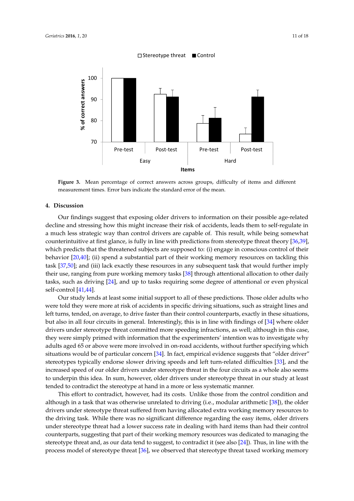<span id="page-10-0"></span>

measurement times. Error bars indicate the standard error of the mean. **Figure 3.** Mean percentage of correct answers across groups, difficulty of items and different

# **4. Discussion**

decline and stressing how this might increase their risk of accidents, leads them to self-regulate in a much less strategic way than control drivers are capable of. This result, while being somewhat counterintuitive at first glance, is fully in line with predictions from stereotype threat theory [\[36,](#page-16-4)[39\]](#page-16-7), which predicts that the threatened subjects are supposed to: (i) engage in conscious control of their behavior [\[20](#page-15-11)[,40\]](#page-16-8); (ii) spend a substantial part of their working memory resources on tackling this task [\[37,](#page-16-5)[50\]](#page-16-17); and (iii) lack exactly these resources in any subsequent task that would further imply their use, ranging from pure working memory tasks [\[38\]](#page-16-6) through attentional allocation to other daily tasks, such as driving [\[24\]](#page-15-15), and up to tasks requiring some degree of attentional or even physical  $t = \frac{1}{2}$  self-control [\[41](#page-16-9)[,44\]](#page-16-12). Our findings suggest that exposing older drivers to information on their possible age-related

Our study lends at least some initial support to all of these predictions. Those older adults who were told they were more at risk of accidents in specific driving situations, such as straight lines and left turns, tended, on average, to drive faster than their control counterparts, exactly in these situations, but also in all four circuits in general. Interestingly, this is in line with findings of [\[34\]](#page-16-2) where older drivers under stereotype threat committed more speeding infractions, as well; although in this case, they were simply primed with information that the experimenters' intention was to investigate why adults aged 65 or above were more involved in on-road accidents, without further specifying which situations would be of particular concern [\[34\]](#page-16-2). In fact, empirical evidence suggests that "older driver" stereotypes typically endorse slower driving speeds and left turn-related difficulties [\[33\]](#page-16-1), and the increased speed of our older drivers under stereotype threat in the four circuits as a whole also seems to underpin this idea. In sum, however, older drivers under stereotype threat in our study at least tended to contradict the stereotype at hand in a more or less systematic manner.

This effort to contradict, however, had its costs. Unlike those from the control condition and although in a task that was otherwise unrelated to driving (i.e., modular arithmetic [\[38\]](#page-16-6)), the older drivers under stereotype threat suffered from having allocated extra working memory resources to the driving task. While there was no significant difference regarding the easy items, older drivers under stereotype threat had a lower success rate in dealing with hard items than had their control counterparts, suggesting that part of their working memory resources was dedicated to managing the stereotype threat and, as our data tend to suggest, to contradict it (see also [\[24\]](#page-15-15)). Thus, in line with the process model of stereotype threat [\[36\]](#page-16-4), we observed that stereotype threat taxed working memory  $\frac{1}{\sqrt{2}}$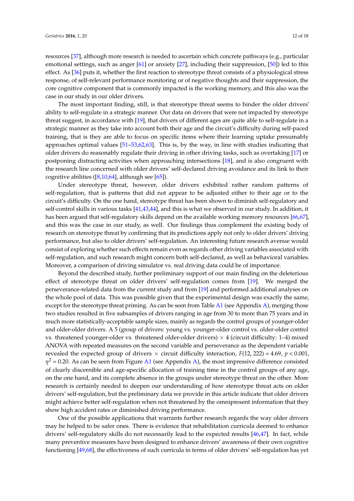resources [\[37\]](#page-16-5), although more research is needed to ascertain which concrete pathways (e.g., particular emotional settings, such as anger [\[61\]](#page-17-6) or anxiety [\[27\]](#page-15-17), including their suppression, [\[50\]](#page-16-17)) led to this effect. As [\[36\]](#page-16-4) puts it, whether the first reaction to stereotype threat consists of a physiological stress response, of self-relevant performance monitoring or of negative thoughts and their suppression, the core cognitive component that is commonly impacted is the working memory, and this also was the case in our study in our older drivers.

The most important finding, still, is that stereotype threat seems to hinder the older drivers' ability to self-regulate in a strategic manner. Our data on drivers that were not impacted by stereotype threat suggest, in accordance with [\[19\]](#page-15-10), that drivers of different ages are quite able to self-regulate in a strategic manner as they take into account both their age and the circuit's difficulty during self-paced training, that is they are able to focus on specific items where their learning uptake presumably approaches optimal values [\[51–](#page-16-18)[53,](#page-16-20)[62,](#page-17-7)[63\]](#page-17-8). This is, by the way, in line with studies indicating that older drivers do reasonably regulate their driving in other driving tasks, such as overtaking [\[17\]](#page-15-8) or postponing distracting activities when approaching intersections [\[18\]](#page-15-9), and is also congruent with the research line concerned with older drivers' self-declared driving avoidance and its link to their cognitive abilities  $([8,10,64]$  $([8,10,64]$  $([8,10,64]$  $([8,10,64]$ , although see  $[65]$ ).

Under stereotype threat, however, older drivers exhibited rather random patterns of self-regulation, that is patterns that did not appear to be adjusted either to their age or to the circuit's difficulty. On the one hand, stereotype threat has been shown to diminish self-regulatory and self-control skills in various tasks [\[41](#page-16-9)[,43](#page-16-11)[,44\]](#page-16-12), and this is what we observed in our study. In addition, it has been argued that self-regulatory skills depend on the available working memory resources [\[66](#page-17-11)[,67\]](#page-17-12), and this was the case in our study, as well. Our findings thus complement the existing body of research on stereotype threat by confirming that its predictions apply not only to older drivers' driving performance, but also to older drivers' self-regulation. An interesting future research avenue would consist of exploring whether such effects remain even as regards other driving variables associated with self-regulation, and such research might concern both self-declared, as well as behavioral variables. Moreover, a comparison of driving simulator vs. real driving data could be of importance.

Beyond the described study, further preliminary support of our main finding on the deleterious effect of stereotype threat on older drivers' self-regulation comes from [\[19\]](#page-15-10). We merged the perseverance-related data from the current study and from [\[19\]](#page-15-10) and performed additional analyses on the whole pool of data. This was possible given that the experimental design was exactly the same, except for the stereotype threat priming. As can be seen from Table [A1](#page-13-0) (see Appendix [A\)](#page-13-1), merging those two studies resulted in five subsamples of drivers ranging in age from 30 to more than 75 years and in much more statistically-acceptable sample sizes, mainly as regards the control groups of younger-older and older-older drivers. A 5 (group of drivers: young vs. younger-older control vs. older-older control vs. threatened younger-older vs. threatened older-older drivers)  $\times$  4 (circuit difficulty: 1–4) mixed ANOVA with repeated measures on the second variable and perseverance as the dependent variable revealed the expected group of drivers  $\times$  circuit difficulty interaction,  $F(12, 222) = 4.69$ ,  $p < 0.001$ ,  $\eta^2$  = 0.20. As can be seen from Figure [A1](#page-14-5) (see Appendix [A\)](#page-13-1), the most impressive difference consisted of clearly discernible and age-specific allocation of training time in the control groups of any age, on the one hand, and its complete absence in the groups under stereotype threat on the other. More research is certainly needed to deepen our understanding of how stereotype threat acts on older drivers' self-regulation, but the preliminary data we provide in this article indicate that older drivers might achieve better self-regulation when not threatened by the omnipresent information that they show high accident rates or diminished driving performance.

One of the possible applications that warrants further research regards the way older drivers may be helped to be safer ones. There is evidence that rehabilitation curricula deemed to enhance drivers' self-regulatory skills do not necessarily lead to the expected results [\[46,](#page-16-22)[47\]](#page-16-14). In fact, while many preventive measures have been designed to enhance drivers' awareness of their own cognitive functioning [\[49,](#page-16-16)[68\]](#page-17-13), the effectiveness of such curricula in terms of older drivers' self-regulation has yet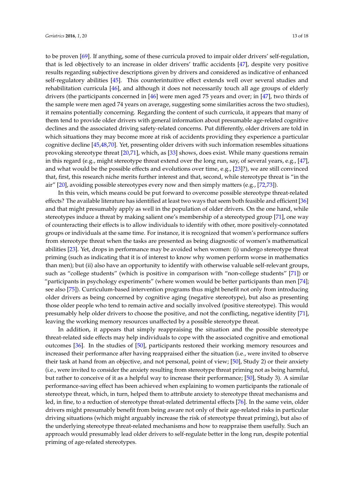to be proven [\[69\]](#page-17-14). If anything, some of these curricula proved to impair older drivers' self-regulation, that is led objectively to an increase in older drivers' traffic accidents [\[47\]](#page-16-14), despite very positive results regarding subjective descriptions given by drivers and considered as indicative of enhanced self-regulatory abilities [\[45\]](#page-16-13). This counterintuitive effect extends well over several studies and rehabilitation curricula [\[46\]](#page-16-22), and although it does not necessarily touch all age groups of elderly drivers (the participants concerned in [\[46\]](#page-16-22) were men aged 75 years and over; in [\[47\]](#page-16-14), two thirds of the sample were men aged 74 years on average, suggesting some similarities across the two studies), it remains potentially concerning. Regarding the content of such curricula, it appears that many of them tend to provide older drivers with general information about presumable age-related cognitive declines and the associated driving safety-related concerns. Put differently, older drivers are told in which situations they may become more at risk of accidents providing they experience a particular cognitive decline [\[45,](#page-16-13)[48,](#page-16-15)[70\]](#page-17-15). Yet, presenting older drivers with such information resembles situations provoking stereotype threat [\[20,](#page-15-11)[71\]](#page-17-16), which, as [\[33\]](#page-16-1) shows, does exist. While many questions remain in this regard (e.g., might stereotype threat extend over the long run, say, of several years, e.g., [\[47\]](#page-16-14), and what would be the possible effects and evolutions over time, e.g., [\[23\]](#page-15-14)?), we are still convinced that, first, this research niche merits further interest and that, second, while stereotype threat is "in the air" [\[20\]](#page-15-11), avoiding possible stereotypes every now and then simply matters (e.g., [\[72,](#page-17-17)[73\]](#page-17-18)).

In this vein, which means could be put forward to overcome possible stereotype threat-related effects? The available literature has identified at least two ways that seem both feasible and efficient [\[36\]](#page-16-4) and that might presumably apply as well in the population of older drivers. On the one hand, while stereotypes induce a threat by making salient one's membership of a stereotyped group [\[71\]](#page-17-16), one way of counteracting their effects is to allow individuals to identify with other, more positively-connotated groups or individuals at the same time. For instance, it is recognized that women's performance suffers from stereotype threat when the tasks are presented as being diagnostic of women's mathematical abilities [\[23\]](#page-15-14). Yet, drops in performance may be avoided when women: (i) undergo stereotype threat priming (such as indicating that it is of interest to know why women perform worse in mathematics than men); but (ii) also have an opportunity to identify with otherwise valuable self-relevant groups, such as "college students" (which is positive in comparison with "non-college students" [\[71\]](#page-17-16)) or "participants in psychology experiments" (where women would be better participants than men [\[74\]](#page-17-19); see also [\[75\]](#page-17-20)). Curriculum-based intervention programs thus might benefit not only from introducing older drivers as being concerned by cognitive aging (negative stereotype), but also as presenting those older people who tend to remain active and socially involved (positive stereotype). This would presumably help older drivers to choose the positive, and not the conflicting, negative identity [\[71\]](#page-17-16), leaving the working memory resources unaffected by a possible stereotype threat.

In addition, it appears that simply reappraising the situation and the possible stereotype threat-related side effects may help individuals to cope with the associated cognitive and emotional outcomes [\[36\]](#page-16-4). In the studies of [\[50\]](#page-16-17), participants restored their working memory resources and increased their performance after having reappraised either the situation (i.e., were invited to observe their task at hand from an objective, and not personal, point of view; [\[50\]](#page-16-17), Study 2) or their anxiety (i.e., were invited to consider the anxiety resulting from stereotype threat priming not as being harmful, but rather to conceive of it as a helpful way to increase their performance; [\[50\]](#page-16-17), Study 3). A similar performance-saving effect has been achieved when explaining to women participants the rationale of stereotype threat, which, in turn, helped them to attribute anxiety to stereotype threat mechanisms and led, in fine, to a reduction of stereotype threat-related detrimental effects [\[76\]](#page-17-21). In the same vein, older drivers might presumably benefit from being aware not only of their age-related risks in particular driving situations (which might arguably increase the risk of stereotype threat priming), but also of the underlying stereotype threat-related mechanisms and how to reappraise them usefully. Such an approach would presumably lead older drivers to self-regulate better in the long run, despite potential priming of age-related stereotypes.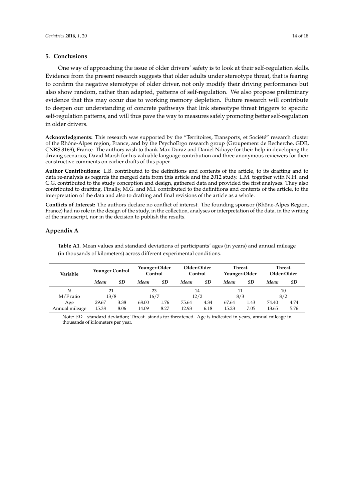#### **5. Conclusions**

One way of approaching the issue of older drivers' safety is to look at their self-regulation skills. Evidence from the present research suggests that older adults under stereotype threat, that is fearing to confirm the negative stereotype of older driver, not only modify their driving performance but also show random, rather than adapted, patterns of self-regulation. We also propose preliminary evidence that this may occur due to working memory depletion. Future research will contribute to deepen our understanding of concrete pathways that link stereotype threat triggers to specific self-regulation patterns, and will thus pave the way to measures safely promoting better self-regulation in older drivers.

**Acknowledgments:** This research was supported by the "Territoires, Transports, et Société" research cluster of the Rhône-Alpes region, France, and by the PsychoErgo research group (Groupement de Recherche, GDR, CNRS 3169), France. The authors wish to thank Max Duraz and Daniel Ndiaye for their help in developing the driving scenarios, David Marsh for his valuable language contribution and three anonymous reviewers for their constructive comments on earlier drafts of this paper.

**Author Contributions:** L.B. contributed to the definitions and contents of the article, to its drafting and to data re-analysis as regards the merged data from this article and the 2012 study. L.M. together with N.H. and C.G. contributed to the study conception and design, gathered data and provided the first analyses. They also contributed to drafting. Finally, M.G. and M.I. contributed to the definitions and contents of the article, to the interpretation of the data and also to drafting and final revisions of the article as a whole.

**Conflicts of Interest:** The authors declare no conflict of interest. The founding sponsor (Rhône-Alpes Region, France) had no role in the design of the study, in the collection, analyses or interpretation of the data, in the writing of the manuscript, nor in the decision to publish the results.

# <span id="page-13-1"></span><span id="page-13-0"></span>**Appendix A**

**Table A1.** Mean values and standard deviations of participants' ages (in years) and annual mileage (in thousands of kilometers) across different experimental conditions.

| Variable       | <b>Younger Control</b> |      | Younger-Older<br>Control |      | Older-Older<br>Control |      | Threat.<br>Younger-Older |      | Threat.<br>Older-Older |      |
|----------------|------------------------|------|--------------------------|------|------------------------|------|--------------------------|------|------------------------|------|
|                | Mean                   | SD   | Mean                     | SD   | Mean                   | SD   | Mean                     | SD   | Mean                   | SD   |
| N              | 21                     |      | 23                       |      | 14                     |      | 11                       |      | 10                     |      |
| $M/F$ ratio    | 13/8                   |      | 16/7                     |      | 12/2                   |      | 8/3                      |      | 8/2                    |      |
| Age            | 29.67                  | 3.38 | 68.00                    | 1.76 | 75.64                  | 4.34 | 67.64                    | 1.43 | 74.40                  | 4.74 |
| Annual mileage | 15.38                  | 8.06 | 14.09                    | 8.27 | 12.93                  | 6.18 | 15.23                    | 7.05 | 13.65                  | 5.76 |

Note: *SD*—standard deviation; Threat. stands for threatened. Age is indicated in years, annual mileage in thousands of kilometers per year.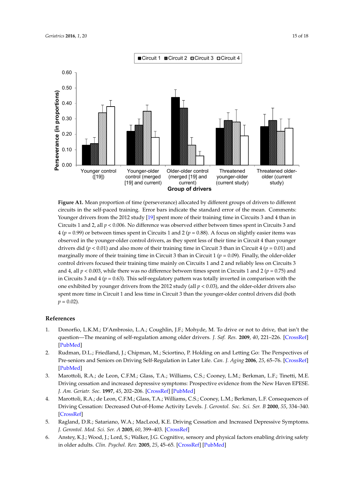<span id="page-14-5"></span>

**Figure A1.** Mean proportion of time (perseverance) allocated by different groups of drivers to **Figure A1.** Mean proportion of time (perseverance) allocated by different groups of drivers to different circuits in the self-paced training. Error bars indicate the standard error of the mean. Comments: Younger drivers from the 2012 study [\[19\]](#page-15-10) spent more of their training time in Circuits 3 and 4 than in Circuits 1 and 2, all *p* < 0.006. No difference was observed either between times spent in Circuits 3 and 4 ( $p = 0.99$ ) or between times spent in Circuits 1 and 2 ( $p = 0.88$ ). A focus on slightly easier items was observed in the younger-older control drivers, as they spent less of their time in Circuit 4 than younger drivers did ( $p < 0.01$ ) and also more of their training time in Circuit 3 than in Circuit 4 ( $p = 0.01$ ) and marginally more of their training time in Circuit 3 than in Circuit 1 ( $p = 0.09$ ). Finally, the older-older control drivers focused their training time mainly on Circuits 1 and 2 and reliably less on Circuits 3 and 4, all  $p < 0.003$ , while there was no difference between times spent in Circuits 1 and 2 ( $p = 0.75$ ) and in Circuits 3 and 4 ( $p = 0.63$ ). This self-regulatory pattern was totally inverted in comparison with the one exhibited by younger drivers from the 2012 study (all  $p < 0.03$ ), and the older-older drivers also spent more time in Circuit 1 and less time in Circuit 3 than the younger-older control drivers did (both  $p = 0.02$ .  $p = 0.02$ ).

#### **References References**

- <span id="page-14-0"></span>1. Donorfio, L.K.M.; D'Ambrosio, L.A.; Coughlin, J.F.; Mohyde, M. To drive or not to drive, that isn't the 1. Donorfio, L.K.M.; D'Ambrosio, L.A.; Coughlin, J.F.; Mohyde, M. To drive or not to drive, that isn't the question—The meaning of self-regulation among older drivers. *J. Saf. Res.* 2009, 40, 221-226. [\[CrossRef\]](http://dx.doi.org/10.1016/j.jsr.2009.04.002)  $[{\rm PubMed}]$ [\[PubMed\]](http://www.ncbi.nlm.nih.gov/pubmed/19527817)
- <span id="page-14-1"></span>2. Rudman, D.L.; Friedland, J.; Chipman, M.; Sciortino, P. Holding on and Letting Go: The Perspectives of Pre-seniors and Seniors on Driving Self-Regulation in Later Life. Can. J. Aging 2006, 25, 65–76. [\[CrossRef\]](http://dx.doi.org/10.1353/cja.2006.0031) Driving cessation and increased depressive symptoms: Prospective evidence from the New Haven EPESE. [\[PubMed\]](http://www.ncbi.nlm.nih.gov/pubmed/16770749)
- <span id="page-14-2"></span>*J. Am. Geriatr. Soc.* **1997**, *45*, 202–206. 3. Marottoli, R.A.; de Leon, C.F.M.; Glass, T.A.; Williams, C.S.; Cooney, L.M.; Berkman, L.F.; Tinetti, M.E. Driving cessation and increased depressive symptoms: Prospective evidence from the New Haven EPESE. Driving Cessation: Decreased Out-of-Home Activity Levels. *J. Gerontol. Soc. Sci. Ser. B* **2000**, *55*, 334–340. *J. Am. Geriatr. Soc.* **1997**, *45*, 202–206. [\[CrossRef\]](http://dx.doi.org/10.1111/j.1532-5415.1997.tb04508.x) [\[PubMed\]](http://www.ncbi.nlm.nih.gov/pubmed/9033520)
- 4. Marottoli, R.A.; de Leon, C.F.M.; Glass, T.A.; Williams, C.S.; Cooney, L.M.; Berkman, L.F. Consequences of *Gerontol. Med. Sci. Ser. A* **2005**, *60*, 399–403. Driving Cessation: Decreased Out-of-Home Activity Levels. *J. Gerontol. Soc. Sci. Ser. B* **2000**, *55*, 334–340.  $[CrossRet]$ [\[CrossRef\]](http://dx.doi.org/10.1093/geronb/55.6.S334)
- <span id="page-14-3"></span>5. Ragland, D.R.; Satariano, W.A.; MacLeod, K.E. Driving Cessation and Increased Depressive Symptoms. *J. Gerontol. Med. Sci. Ser. A* **2005**, *60*, 399–403. [\[CrossRef\]](http://dx.doi.org/10.1093/gerona/60.3.399)
- <span id="page-14-4"></span>6. Anstey, K.J.; Wood, J.; Lord, S.; Walker, J.G. Cognitive, sensory and physical factors enabling driving safety in older adults. *Clin. Psychol. Rev.* **2005**, 25, 45–65. [\[CrossRef\]](http://dx.doi.org/10.1016/j.cpr.2004.07.008) [\[PubMed\]](http://www.ncbi.nlm.nih.gov/pubmed/15596080)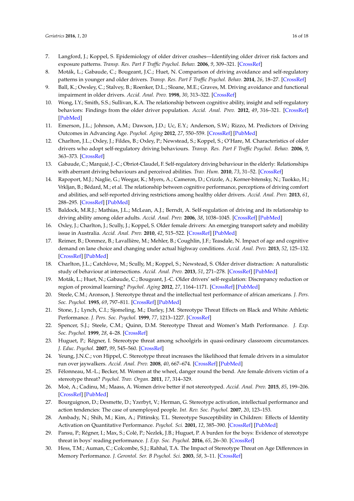- <span id="page-15-0"></span>7. Langford, J.; Koppel, S. Epidemiology of older driver crashes—Identifying older driver risk factors and exposure patterns. *Transp. Res. Part F Traffic Psychol. Behav.* **2006**, *9*, 309–321. [\[CrossRef\]](http://dx.doi.org/10.1016/j.trf.2006.03.005)
- <span id="page-15-1"></span>8. Moták, L.; Gabaude, C.; Bougeant, J.C.; Huet, N. Comparison of driving avoidance and self-regulatory patterns in younger and older drivers. *Transp. Res. Part F Traffic Psychol. Behav.* **2014**, *26*, 18–27. [\[CrossRef\]](http://dx.doi.org/10.1016/j.trf.2014.06.007)
- <span id="page-15-2"></span>9. Ball, K.; Owsley, C.; Stalvey, B.; Roenker, D.L.; Sloane, M.E.; Graves, M. Driving avoidance and functional impairment in older drivers. *Accid. Anal. Prev.* **1998**, *30*, 313–322. [\[CrossRef\]](http://dx.doi.org/10.1016/S0001-4575(97)00102-4)
- <span id="page-15-21"></span>10. Wong, I.Y.; Smith, S.S.; Sullivan, K.A. The relationship between cognitive ability, insight and self-regulatory behaviors: Findings from the older driver population. *Accid. Anal. Prev.* **2012**, *49*, 316–321. [\[CrossRef\]](http://dx.doi.org/10.1016/j.aap.2012.05.031) [\[PubMed\]](http://www.ncbi.nlm.nih.gov/pubmed/22763401)
- <span id="page-15-3"></span>11. Emerson, J.L.; Johnson, A.M.; Dawson, J.D.; Uc, E.Y.; Anderson, S.W.; Rizzo, M. Predictors of Driving Outcomes in Advancing Age. *Psychol. Aging* **2012**, *27*, 550–559. [\[CrossRef\]](http://dx.doi.org/10.1037/a0026359) [\[PubMed\]](http://www.ncbi.nlm.nih.gov/pubmed/22182364)
- <span id="page-15-4"></span>12. Charlton, J.L.; Oxley, J.; Fildes, B.; Oxley, P.; Newstead, S.; Koppel, S.; O'Hare, M. Characteristics of older drivers who adopt self-regulatory driving behaviours. *Transp. Res. Part F Traffic Psychol. Behav.* **2006**, *9*, 363–373. [\[CrossRef\]](http://dx.doi.org/10.1016/j.trf.2006.06.006)
- 13. Gabaude, C.; Marquié, J.-C.; Obriot-Claudel, F. Self-regulatory driving behaviour in the elderly: Relationships with aberrant driving behaviours and perceived abilities. *Trav. Hum.* **2010**, *73*, 31–52. [\[CrossRef\]](http://dx.doi.org/10.3917/th.731.0031)
- <span id="page-15-5"></span>14. Rapoport, M.J.; Naglie, G.; Weegar, K.; Myers, A.; Cameron, D.; Crizzle, A.; Korner-bitensky, N.; Tuokko, H.; Vrkljan, B.; Bédard, M.; et al. The relationship between cognitive performance, perceptions of driving comfort and abilities, and self-reported driving restrictions among healthy older drivers. *Accid. Anal. Prev.* **2013**, *61*, 288–295. [\[CrossRef\]](http://dx.doi.org/10.1016/j.aap.2013.03.030) [\[PubMed\]](http://www.ncbi.nlm.nih.gov/pubmed/23601097)
- <span id="page-15-6"></span>15. Baldock, M.R.J.; Mathias, J.L.; McLean, A.J.; Berndt, A. Self-regulation of driving and its relationship to driving ability among older adults. *Accid. Anal. Prev.* **2006**, *38*, 1038–1045. [\[CrossRef\]](http://dx.doi.org/10.1016/j.aap.2006.04.016) [\[PubMed\]](http://www.ncbi.nlm.nih.gov/pubmed/16725099)
- <span id="page-15-7"></span>16. Oxley, J.; Charlton, J.; Scully, J.; Koppel, S. Older female drivers: An emerging transport safety and mobility issue in Australia. *Accid. Anal. Prev.* **2010**, *42*, 515–522. [\[CrossRef\]](http://dx.doi.org/10.1016/j.aap.2009.09.017) [\[PubMed\]](http://www.ncbi.nlm.nih.gov/pubmed/20159075)
- <span id="page-15-8"></span>17. Reimer, B.; Donmez, B.; Lavallière, M.; Mehler, B.; Coughlin, J.F.; Teasdale, N. Impact of age and cognitive demand on lane choice and changing under actual highway conditions. *Accid. Anal. Prev.* **2013**, *52*, 125–132. [\[CrossRef\]](http://dx.doi.org/10.1016/j.aap.2012.12.008) [\[PubMed\]](http://www.ncbi.nlm.nih.gov/pubmed/23333319)
- <span id="page-15-9"></span>18. Charlton, J.L.; Catchlove, M.; Scully, M.; Koppel, S.; Newstead, S. Older driver distraction: A naturalistic study of behaviour at intersections. *Accid. Anal. Prev.* **2013**, *51*, 271–278. [\[CrossRef\]](http://dx.doi.org/10.1016/j.aap.2012.12.027) [\[PubMed\]](http://www.ncbi.nlm.nih.gov/pubmed/23332726)
- <span id="page-15-10"></span>19. Moták, L.; Huet, N.; Gabaude, C.; Bougeant, J.-C. Older drivers' self-regulation: Discrepancy reduction or region of proximal learning? *Psychol. Aging* **2012**, *27*, 1164–1171. [\[CrossRef\]](http://dx.doi.org/10.1037/a0028650) [\[PubMed\]](http://www.ncbi.nlm.nih.gov/pubmed/22708534)
- <span id="page-15-11"></span>20. Steele, C.M.; Aronson, J. Stereotype threat and the intellectual test performance of african americans. *J. Pers. Soc. Psychol.* **1995**, *69*, 797–811. [\[CrossRef\]](http://dx.doi.org/10.1037/0022-3514.69.5.797) [\[PubMed\]](http://www.ncbi.nlm.nih.gov/pubmed/7473032)
- <span id="page-15-12"></span>21. Stone, J.; Lynch, C.I.; Sjomeling, M.; Darley, J.M. Stereotype Threat Effects on Black and White Athletic Performance. *J. Pers. Soc. Psychol.* **1999**, *77*, 1213–1227. [\[CrossRef\]](http://dx.doi.org/10.1037/0022-3514.77.6.1213)
- <span id="page-15-13"></span>22. Spencer, S.J.; Steele, C.M.; Quinn, D.M. Stereotype Threat and Women's Math Performance. *J. Exp. Soc. Psychol.* **1999**, *28*, 4–28. [\[CrossRef\]](http://dx.doi.org/10.1006/jesp.1998.1373)
- <span id="page-15-14"></span>23. Huguet, P.; Régner, I. Stereotype threat among schoolgirls in quasi-ordinary classroom circumstances. *J. Educ. Psychol.* **2007**, *99*, 545–560. [\[CrossRef\]](http://dx.doi.org/10.1037/0022-0663.99.3.545)
- <span id="page-15-15"></span>24. Yeung, J.N.C.; von Hippel, C. Stereotype threat increases the likelihood that female drivers in a simulator run over jaywalkers. *Accid. Anal. Prev.* **2008**, *40*, 667–674. [\[CrossRef\]](http://dx.doi.org/10.1016/j.aap.2007.09.003) [\[PubMed\]](http://www.ncbi.nlm.nih.gov/pubmed/18329419)
- 25. Félonneau, M.-L.; Becker, M. Women at the wheel, danger round the bend. Are female drivers victim of a stereotype threat? *Psychol. Trav. Organ.* **2011**, *17*, 314–329.
- <span id="page-15-16"></span>26. Moè, A.; Cadinu, M.; Maass, A. Women drive better if not stereotyped. *Accid. Anal. Prev.* **2015**, *85*, 199–206. [\[CrossRef\]](http://dx.doi.org/10.1016/j.aap.2015.09.021) [\[PubMed\]](http://www.ncbi.nlm.nih.gov/pubmed/26457739)
- <span id="page-15-17"></span>27. Bourguignon, D.; Desmette, D.; Yzerbyt, V.; Herman, G. Stereotype activation, intellectual performance and action tendencies: The case of unemployed people. *Int. Rev. Soc. Psychol.* **2007**, *20*, 123–153.
- <span id="page-15-18"></span>28. Ambady, N.; Shih, M.; Kim, A.; Pittinsky, T.L. Stereotype Susceptibility in Children: Effects of Identity Activation on Quantitative Performance. *Psychol. Sci.* **2001**, *12*, 385–390. [\[CrossRef\]](http://dx.doi.org/10.1111/1467-9280.00371) [\[PubMed\]](http://www.ncbi.nlm.nih.gov/pubmed/11554671)
- <span id="page-15-19"></span>29. Pansu, P.; Régner, I.; Max, S.; Colé, P.; Nezlek, J.B.; Huguet, P. A burden for the boys: Evidence of stereotype threat in boys' reading performance. *J. Exp. Soc. Psychol.* **2016**, *65*, 26–30. [\[CrossRef\]](http://dx.doi.org/10.1016/j.jesp.2016.02.008)
- <span id="page-15-20"></span>30. Hess, T.M.; Auman, C.; Colcombe, S.J.; Rahhal, T.A. The Impact of Stereotype Threat on Age Differences in Memory Performance. *J. Gerontol. Ser. B Psychol. Sci.* **2003**, *58*, 3–11. [\[CrossRef\]](http://dx.doi.org/10.1093/geronb/58.1.P3)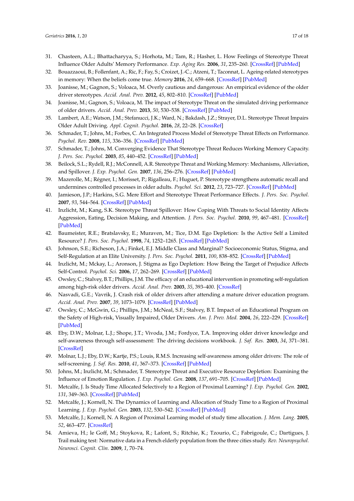- 31. Chasteen, A.L.; Bhattacharyya, S.; Horhota, M.; Tam, R.; Hasher, L. How Feelings of Stereotype Threat Influence Older Adults' Memory Performance. *Exp. Aging Res.* **2006**, *31*, 235–260. [\[CrossRef\]](http://dx.doi.org/10.1080/03610730590948177) [\[PubMed\]](http://www.ncbi.nlm.nih.gov/pubmed/16036721)
- <span id="page-16-0"></span>32. Bouazzaoui, B.; Follenfant, A.; Ric, F.; Fay, S.; Croizet, J.-C.; Atzeni, T.; Taconnat, L. Ageing-related stereotypes in memory: When the beliefs come true. *Memory* **2016**, *24*, 659–668. [\[CrossRef\]](http://dx.doi.org/10.1080/09658211.2015.1040802) [\[PubMed\]](http://www.ncbi.nlm.nih.gov/pubmed/26057336)
- <span id="page-16-1"></span>33. Joanisse, M.; Gagnon, S.; Voloaca, M. Overly cautious and dangerous: An empirical evidence of the older driver stereotypes. *Accid. Anal. Prev.* **2012**, *45*, 802–810. [\[CrossRef\]](http://dx.doi.org/10.1016/j.aap.2011.11.002) [\[PubMed\]](http://www.ncbi.nlm.nih.gov/pubmed/22269572)
- <span id="page-16-2"></span>34. Joanisse, M.; Gagnon, S.; Voloaca, M. The impact of Stereotype Threat on the simulated driving performance of older drivers. *Accid. Anal. Prev.* **2013**, *50*, 530–538. [\[CrossRef\]](http://dx.doi.org/10.1016/j.aap.2012.05.032) [\[PubMed\]](http://www.ncbi.nlm.nih.gov/pubmed/22727883)
- <span id="page-16-3"></span>35. Lambert, A.E.; Watson, J.M.; Stefanucci, J.K.; Ward, N.; Bakdash, J.Z.; Strayer, D.L. Stereotype Threat Impairs Older Adult Driving. *Appl. Cognit. Psychol.* **2016**, *28*, 22–28. [\[CrossRef\]](http://dx.doi.org/10.1002/acp.3162)
- <span id="page-16-4"></span>36. Schmader, T.; Johns, M.; Forbes, C. An Integrated Process Model of Stereotype Threat Effects on Performance. *Psychol. Rev.* **2008**, *115*, 336–356. [\[CrossRef\]](http://dx.doi.org/10.1037/0033-295X.115.2.336) [\[PubMed\]](http://www.ncbi.nlm.nih.gov/pubmed/18426293)
- <span id="page-16-5"></span>37. Schmader, T.; Johns, M. Converging Evidence That Stereotype Threat Reduces Working Memory Capacity. *J. Pers. Soc. Psychol.* **2003**, *85*, 440–452. [\[CrossRef\]](http://dx.doi.org/10.1037/0022-3514.85.3.440) [\[PubMed\]](http://www.ncbi.nlm.nih.gov/pubmed/14498781)
- <span id="page-16-6"></span>38. Beilock, S.L.; Rydell, R.J.; McConnell, A.R. Stereotype Threat and Working Memory: Mechanisms, Alleviation, and Spillover. *J. Exp. Psychol. Gen.* **2007**, *136*, 256–276. [\[CrossRef\]](http://dx.doi.org/10.1037/0096-3445.136.2.256) [\[PubMed\]](http://www.ncbi.nlm.nih.gov/pubmed/17500650)
- <span id="page-16-7"></span>39. Mazerolle, M.; Régner, I.; Morisset, P.; Rigalleau, F.; Huguet, P. Stereotype strengthens automatic recall and undermines controlled processes in older adults. *Psychol. Sci.* **2012**, *23*, 723–727. [\[CrossRef\]](http://dx.doi.org/10.1177/0956797612437607) [\[PubMed\]](http://www.ncbi.nlm.nih.gov/pubmed/22609539)
- <span id="page-16-8"></span>40. Jamieson, J.P.; Harkins, S.G. Mere Effort and Stereotype Threat Performance Effects. *J. Pers. Soc. Psychol.* **2007**, *93*, 544–564. [\[CrossRef\]](http://dx.doi.org/10.1037/0022-3514.93.4.544) [\[PubMed\]](http://www.ncbi.nlm.nih.gov/pubmed/17892331)
- <span id="page-16-9"></span>41. Inzlicht, M.; Kang, S.K. Stereotype Threat Spillover: How Coping With Threats to Social Identity Affects Aggression, Eating, Decision Making, and Attention. *J. Pers. Soc. Psychol.* **2010**, *99*, 467–481. [\[CrossRef\]](http://dx.doi.org/10.1037/a0018951) [\[PubMed\]](http://www.ncbi.nlm.nih.gov/pubmed/20649368)
- <span id="page-16-10"></span>42. Baumeister, R.E.; Bratslavsky, E.; Muraven, M.; Tice, D.M. Ego Depletion: Is the Active Self a Limited Resource? *J. Pers. Soc. Psychol.* **1998**, *74*, 1252–1265. [\[CrossRef\]](http://dx.doi.org/10.1037/0022-3514.74.5.1252) [\[PubMed\]](http://www.ncbi.nlm.nih.gov/pubmed/9599441)
- <span id="page-16-11"></span>43. Johnson, S.E.; Richeson, J.A.; Finkel, E.J. Middle Class and Marginal? Socioeconomic Status, Stigma, and Self-Regulation at an Elite University. *J. Pers. Soc. Psychol.* **2011**, *100*, 838–852. [\[CrossRef\]](http://dx.doi.org/10.1037/a0021956) [\[PubMed\]](http://www.ncbi.nlm.nih.gov/pubmed/21280968)
- <span id="page-16-12"></span>44. Inzlicht, M.; Mckay, L.; Aronson, J. Stigma as Ego Depletion: How Being the Target of Prejudice Affects Self-Control. *Psychol. Sci.* **2006**, *17*, 262–269. [\[CrossRef\]](http://dx.doi.org/10.1111/j.1467-9280.2006.01695.x) [\[PubMed\]](http://www.ncbi.nlm.nih.gov/pubmed/16507068)
- <span id="page-16-13"></span>45. Owsley, C.; Stalvey, B.T.; Phillips, J.M. The efficacy of an educational intervention in promoting self-regulation among high-risk older drivers. *Accid. Anal. Prev.* **2003**, *35*, 393–400. [\[CrossRef\]](http://dx.doi.org/10.1016/S0001-4575(02)00016-7)
- <span id="page-16-22"></span>46. Nasvadi, G.E.; Vavrik, J. Crash risk of older drivers after attending a mature driver education program. *Accid. Anal. Prev.* **2007**, *39*, 1073–1079. [\[CrossRef\]](http://dx.doi.org/10.1016/j.aap.2007.02.005) [\[PubMed\]](http://www.ncbi.nlm.nih.gov/pubmed/17920828)
- <span id="page-16-14"></span>47. Owsley, C.; McGwin, G.; Phillips, J.M.; McNeal, S.F.; Stalvey, B.T. Impact of an Educational Program on the Safety of High-risk, Visually Impaired, Older Drivers. *Am. J. Prev. Med.* **2004**, *26*, 222–229. [\[CrossRef\]](http://dx.doi.org/10.1016/j.amepre.2003.12.005) [\[PubMed\]](http://www.ncbi.nlm.nih.gov/pubmed/15026102)
- <span id="page-16-15"></span>48. Eby, D.W.; Molnar, L.J.; Shope, J.T.; Vivoda, J.M.; Fordyce, T.A. Improving older driver knowledge and self-awareness through self-assessment: The driving decisions workbook. *J. Saf. Res.* **2003**, *34*, 371–381. [\[CrossRef\]](http://dx.doi.org/10.1016/j.jsr.2003.09.006)
- <span id="page-16-16"></span>49. Molnar, L.J.; Eby, D.W.; Kartje, P.S.; Louis, R.M.S. Increasing self-awareness among older drivers: The role of self-screening. *J. Saf. Res.* **2010**, *41*, 367–373. [\[CrossRef\]](http://dx.doi.org/10.1016/j.jsr.2010.06.003) [\[PubMed\]](http://www.ncbi.nlm.nih.gov/pubmed/20846553)
- <span id="page-16-17"></span>50. Johns, M.; Inzlicht, M.; Schmader, T. Stereotype Threat and Executive Resource Depletion: Examining the Influence of Emotion Regulation. *J. Exp. Psychol. Gen.* **2008**, *137*, 691–705. [\[CrossRef\]](http://dx.doi.org/10.1037/a0013834) [\[PubMed\]](http://www.ncbi.nlm.nih.gov/pubmed/18999361)
- <span id="page-16-18"></span>51. Metcalfe, J. Is Study Time Allocated Selectively to a Region of Proximal Learning? *J. Exp. Psychol. Gen.* **2002**, *131*, 349–363. [\[CrossRef\]](http://dx.doi.org/10.1037/0096-3445.131.3.349) [\[PubMed\]](http://www.ncbi.nlm.nih.gov/pubmed/12214751)
- <span id="page-16-19"></span>52. Metcalfe, J.; Kornell, N. The Dynamics of Learning and Allocation of Study Time to a Region of Proximal Learning. *J. Exp. Psychol. Gen.* **2003**, *132*, 530–542. [\[CrossRef\]](http://dx.doi.org/10.1037/0096-3445.132.4.530) [\[PubMed\]](http://www.ncbi.nlm.nih.gov/pubmed/14640846)
- <span id="page-16-20"></span>53. Metcalfe, J.; Kornell, N. A Region of Proximal Learning model of study time allocation. *J. Mem. Lang.* **2005**, *52*, 463–477. [\[CrossRef\]](http://dx.doi.org/10.1016/j.jml.2004.12.001)
- <span id="page-16-21"></span>54. Amieva, H.; le Goff, M.; Stoykova, R.; Lafont, S.; Ritchie, K.; Tzourio, C.; Fabrigoule, C.; Dartigues, J. Trail making test: Normative data in a French elderly population from the three cities study. *Rev. Neuropsychol. Neurosci. Cognit. Clin.* **2009**, *1*, 70–74.